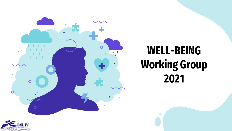

# WELL-BEING Working Group 2021

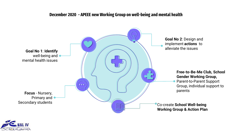#### December 2020 - APEEE new Working Group on well-being and mental health



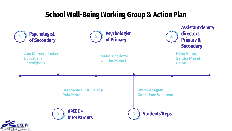# School Well-Being Working Group & Action Plan

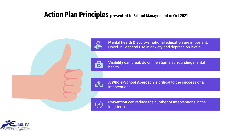# Action Plan Principles presented to School Management in Oct 2021



**Mental health & socio-emotional education** are important, Covid-19: general rise in anxiety and depression levels

6

**Visibility** can break down the stigma surrounding mental health

快

A **Whole-School Approach** is critical to the success of all interventions

**Prevention** can reduce the number of interventions in the long-term.

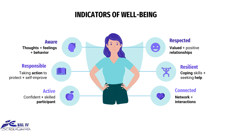### INDICATORS OF WELL-BEING



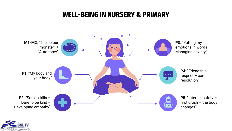### WELL-BEING IN NURSERY & PRIMARY



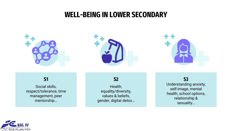### WELL-BEING IN LOWER SECONDARY







### **S1**

Social skills, respect/tolerance, time management, peer mentorship…

**S2**

Health, equality/diversity, values & beliefs, gender, digital detox…

**S3** Understanding anxiety, self-image, mental health, school options, relationship & sexuality…

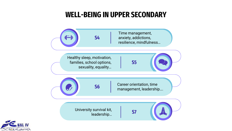### WELL-BEING IN UPPER SECONDARY



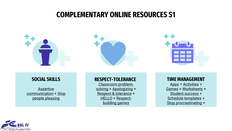### COMPLEMENTARY ONLINE RESOURCES S1







#### **SOCIAL SKILLS**

Assertive [com](https://www.youtube.com/watch?v=vlwmfiCb-vc)[munication](https://www.youtube.com/watch?v=BanqlGZSWiI) + Stop people pleasing

#### **RESPECT-TOLERANCE**

Classroom problemsolving [+ Apologizing](https://resilienteducator.com/classroom-resources/5-problem-solving-activities-for-the-classroom/) + Respect [& tolerance](https://www.youtube.com/watch?v=ArNrrmprUZ0) + [HELLO](https://www.youtube.com/watch?v=3AQ7yC5jQ28) [+ Respect](http://therespectinstitute.org/wp-content/uploads/2014/10/92-99_Games-cards.pdf)building games

#### **TIME MANAGEMENT**

[Apps](https://www.edarabia.com/top-management-apps-students/) + [Activities](https://www.theexceptionalskills.com/time-management-activities/) + [Games](https://weekplan.net/time-management-games) + [Worksheets](https://www.developgoodhabits.com/time-management-worksheets/) + [Student success](https://www.youtube.com/watch?v=rUO8Qvcs7cY) + [Schedule templates](https://www.canva.com/planners/templates/weekly-schedule/) + [Stop procrastinating](https://www.youtube.com/watch?v=rUO8Qvcs7cY) +

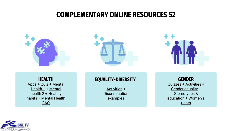### COMPLEMENTARY ONLINE RESOURCES S2







**HEALTH** [Apps](https://healthyteens.us/teen-health-is-there-an-app-for-that/) + [Quiz](https://learning.elucidat.com/course/5bed40b200d60-5c10d45355a8f) + Mental Health 1 [+ Mental](https://www.youtube.com/watch?v=DxIDKZHW3-E) health 2 + Healthy habits [+](https://www.youtube.com/watch?v=oKHs_-6oR6s) [Mental Health](https://www.wellnessinmind.org/frequently-asked-questions/)  FAQ

#### **EQUALITY-DIVERSITY**

[Activities](https://www.uh.edu/cdi/diversity_education/resources/_files/_activities/diversity-activities-resource-guide.pdf) + **[Discrimination](https://examples.yourdictionary.com/examples-of-discrimination.html)** examples

**GENDER** [Quizzes](https://data.em2030.org/quiz/) + [Activities](https://education.alaska.gov/tls/cte/docs/nto/gender_equity.pdf) + Gender [equality](https://en.unesco.org/themes/education/sdgs/material/05) + [Stereotypes](https://www.youtube.com/watch?v=nrZ21nD9I-0) & education + [Women's](https://www.youtube.com/watch?v=m_UjYOfmkn8) **rights** 

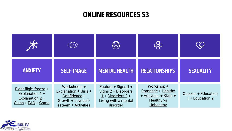### ONLINE RESOURCES S3



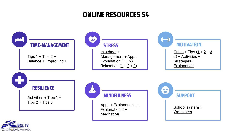### ONLINE RESOURCES S4

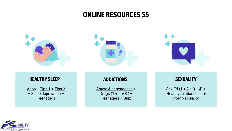### ONLINE RESOURCES S5







#### **HEALTHY SLEEP**

[Apps](https://www.healthline.com/health/healthy-sleep/top-insomnia-iphone-android-apps#relax-melodies)  $+$  [Tips](https://www.sleepfoundation.org/sleep-hygiene/healthy-sleep-tips)  $1 +$  [Tips](https://www.youtube.com/watch?v=fk-_SwHhLLc)  $2$ + Sleep [deprivation](https://www.healthline.com/health/sleep-deprivation/effects-on-body) + **[Teenagers](https://www.betterhealth.vic.gov.au/health/HealthyLiving/teenagers-and-sleep)** 

#### **ADDICTIONS**

[Abuse & dependence](https://www.csun.edu/~hcpsy002/0135128978_ch9.pdf) + Drugs  $(1 + 2 + 3) +$  $(1 + 2 + 3) +$  $(1 + 2 + 3) +$  $(1 + 2 + 3) +$  $(1 + 2 + 3) +$  $(1 + 2 + 3) +$ [Teenagers](https://www.youtube.com/watch?v=6fmhLcYSn-Y) + [Quiz](https://www.yor-ok.org.uk/downloads/Substance Misuse/Drugs quiz questions and answers.pdf)

#### **SEXUALITY**

Sex Ed  $(1 + 2 + 3 + 4) +$  $(1 + 2 + 3 + 4) +$  $(1 + 2 + 3 + 4) +$  $(1 + 2 + 3 + 4) +$  $(1 + 2 + 3 + 4) +$  $(1 + 2 + 3 + 4) +$  $(1 + 2 + 3 + 4) +$  $(1 + 2 + 3 + 4) +$ Healthy [relationships](https://www.loveisrespect.org/) + Porn [vs Reality](https://www.youtube.com/watch?v=q64hTNEj6KQ)

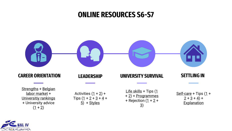### ONLINE RESOURCES S6-S7